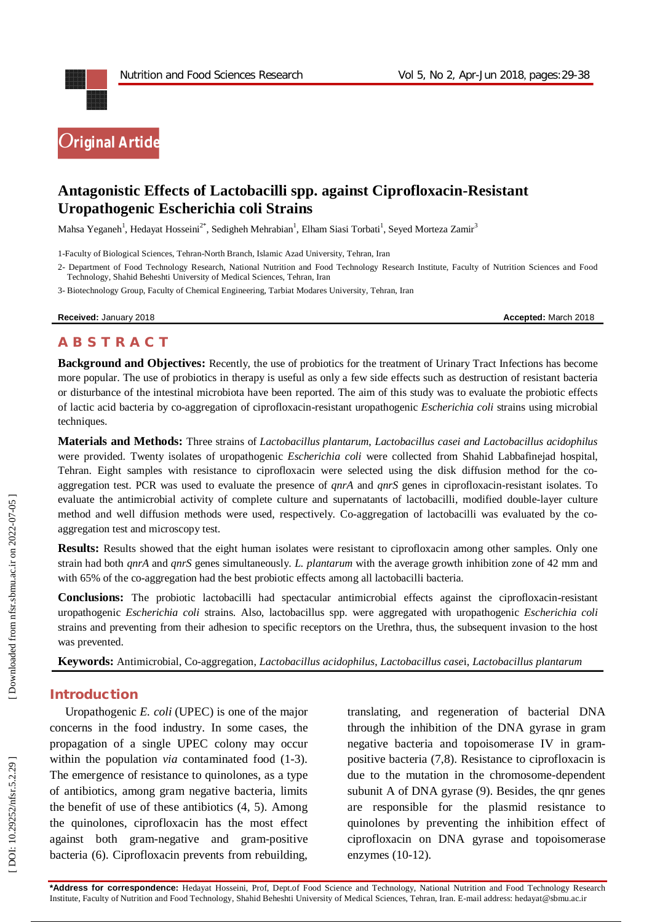

# **Antagonistic Effects of Lactobacilli spp. against Ciprofloxacin -Resistant Uropathogenic Escherichia coli Strains**

Mahsa Yeganeh<sup>1</sup>, Hedayat Hosseini<sup>2\*</sup>, Sedigheh Mehrabian<sup>1</sup>, Elham Siasi Torbati<sup>1</sup>, Seyed Morteza Zamir<sup>3</sup>

1 -Faculty of Biological Sciences, Tehran -North Branch, Islamic Azad University, Tehran, Iran

3 - Biotechnology Group, Faculty of Chemical Engineering, Tarbiat Modares University, Tehran, Iran

**Received:** January 201

8 **Accepted:** March 201 8

#### **A B S T R A C T**

**Background and Objectives:** Recently, the use of probiotics for the treatment of Urinary Tract Infections has become more popular. The use of probiotics in therapy is useful as only a few side effects such as destruction of resistant bacteria or disturbance of the intestinal microbiota have been reported. The aim of this study was to evaluate the probiotic effects of lactic acid bacteria by co -aggregation of ciprofloxacin -resistant uropathogenic *Escherichia coli* strains using microbial techniques.

**Materials and Methods:**  Three strains of *Lactobacillus plantarum*, *Lactobacillus casei and Lactobacillus acidophilus* were provided. Twenty isolates of uropathogenic *Escherichia coli* were collected from Shahid Labbafinejad hospital, Tehran. Eight samples with resistance to ciprofloxacin were selected using the disk diffusion method for the co aggregation test. PCR was used to evaluate the presence of *qnrA* and *qnrS* genes in ciprofloxacin -resistant isolates . To evaluate the antimicrobial activity of complete culture and supernatants of lactobacilli, modified double-layer culture method and well diffusion methods were used, respectively. Co -aggregation of lactobacilli was evaluated by the co aggregation test and microscopy test.

**Results:** Results showed that the eight human isolates were resistant to ciprofloxacin among other samples. Only one strain had both *qnrA* and *qnrS* genes simultaneously. *L. plantarum* with the average growth inhibition zone of 42 mm and with 65% of the co-aggregation had the best probiotic effects among all lactobacilli bacteria.

Conclusions: The probiotic lactobacilli had spectacular antimicrobial effects against the ciprofloxacin-resistant uropathogenic *Escherichia coli* strains. Also, lactobacillus spp. were aggregated with uropathogenic *Escherichia coli* strains and preventing from their adhesion to specific receptors on the Urethra, thus, the subsequent invasion to the host was prevented.

**Keywords:** Antimicrobial, Co -aggregation, *Lactobacillus acidophilus* , *Lactobacillus case*i, *Lactobacillus plantarum*

#### **Introduction**

Uropathogenic *E. coli* (UPEC) is one of the major concerns in the food industry. In some cases, the propagation of a single UPEC colony may occur within the population *via* contaminated food (1 -3). The emergence of resistance to quinolones, as a type of antibiotics, among gram negative bacteria, limits the benefit of use of these antibiotics (4, 5). Among the quinolones, ciprofloxacin has the most effect against both gram -negative and gram -positive bacteria (6). Ciprofloxacin prevents from rebuilding,

translating, and regeneration of bacterial DNA through the inhibition of the DNA gyrase in gram negative bacteria and topoisomerase IV in gram positive bacteria (7,8). Resistance to ciprofloxacin is due to the mutation in the chromosome -dependent subunit A of DNA gyrase (9). Besides, the qnr genes are responsible for the plasmid resistance to quinolones by preventing the inhibition effect of ciprofloxacin on DNA gyrase and topoisomerase enzymes (10 -12).

<sup>2</sup> - Department of Food Technology Research, National Nutrition and Food Technology Research Institute, Faculty of Nutrition Sciences and Food Technology, Shahid Beheshti University of Medical Sciences, Tehran, Iran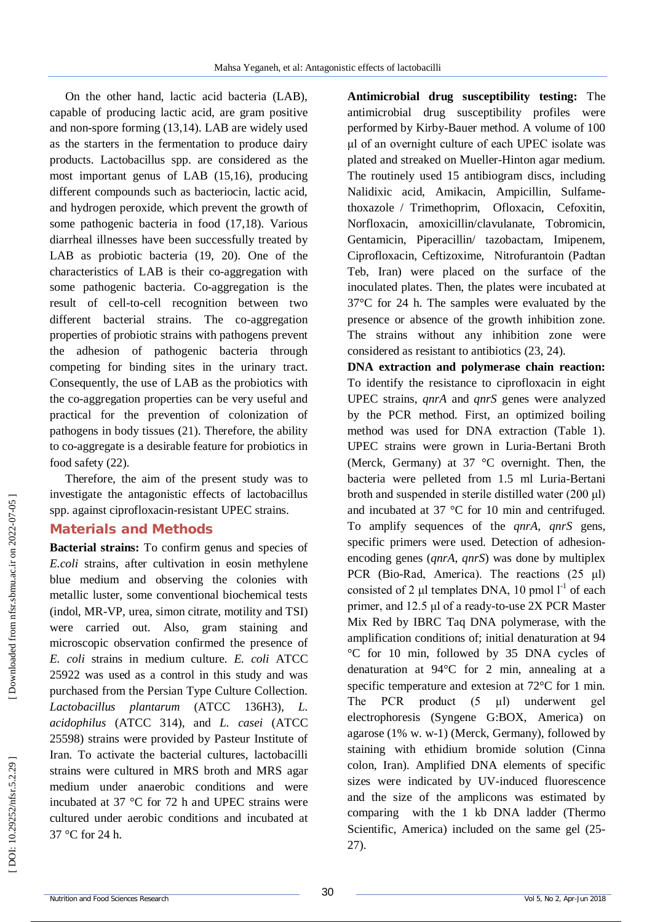On the other hand, lactic acid bacteria (LAB), capable of producing lactic acid, are gram positive and non -spore forming (13,14). LAB are widely used as the starters in the fermentation to produce dairy products. Lactobacillus spp. are considered as the most important genus of LAB (15,16), producing different compounds such as bacteriocin, lactic acid, and hydrogen peroxide, which prevent the growth of some pathogenic bacteria in food (17,18). Various diarrheal illnesses have been successfully treated by LAB as probiotic bacteria (19, 20). One of the characteristics of LAB is their co -aggregation with some pathogenic bacteria. Co -aggregation is the result of cell -to -cell recognition between two different bacterial strains. The co -aggregation properties of probiotic strains with pathogens prevent the adhesion of pathogenic bacteria through competing for binding sites in the urinary tract. Consequently, the use of LAB as the probiotics with the co -aggregation properties can be very useful and practical for the prevention of colonization of pathogens in body tissues (21). Therefore, the ability to co -aggregate is a desirable feature for probiotics in food safety (22).

Therefore, the aim of the present study was to investigate the antagonistic effects of lactobacillus spp. against ciprofloxacin -resistant UPEC strains.

# **Material s and Methods**

**Bacterial strains:** To confirm genus and species of *E.coli* strains, after cultivation in eosin methylene blue medium and observing the colonies with metallic luster, some conventional biochemical tests (indol, MR -VP, urea, simon citrate, motility and TSI) were carried out. Also, gram staining and microscopic observation confirmed the presence of *E. coli* strains in medium culture. *E. coli* ATCC 25922 was used as a control in this study and was purchased from the Persian Type Culture Collection. *Lactobacillus plantarum* (ATCC 136H3), *L. acidophilus* (ATCC 314), and *L. casei* (ATCC 25598) strains were provided by Pasteur Institute of Iran. To activate the bacterial cultures, lactobacilli strains were cultured in MRS broth and MRS agar medium under anaerobic conditions and were incubated at 37 °C for 72 h and UPEC strains were cultured under aerobic conditions and incubated at 37 °C for 24 h.

**Antimicrobial drug susceptibility testing:** The antimicrobial drug susceptibility profiles were performed by Kirby -Bauer method. A volume of 100 μl of an overnight culture of each UPEC isolate was plated and streaked on Mueller -Hinton agar medium. The routinely used 15 antibiogram discs, including Nalidixic acid, Amikacin, Ampicillin, Sulfame thoxazole / Trimethoprim, Ofloxacin, Cefoxitin, Norfloxacin, amoxicillin/clavulanate, Tobromicin, Gentamicin, Piperacillin/ tazobactam, Imipenem, Ciprofloxacin, Ceftizoxime, Nitrofurantoin (Padtan Teb, Iran) were placed on the surface of the inoculated plates. Then, the plates were incubated at 37°C for 24 h. The samples were evaluated by the presence or absence of the growth inhibition zone. The strains without any inhibition zone were considered as resistant to antibiotics (23, 24) .

**DNA extraction and polymerase chain reaction:**  To identify the resistance to ciprofloxacin in eight UPEC strains, *qnrA* and *qnrS* genes were analyzed by the PCR method. First, an optimized boiling method was used for DNA extraction (Table 1). UPEC strains were grown in Luria -Bertani Broth (Merck, Germany) at 37 °C overnight. Then, the bacteria were pelleted from 1.5 ml Luria -Bertani broth and suspended in sterile distilled water (200 μl) and incubated at 37 °C for 10 min and centrifuged. To amplify sequences of the *qnrA*, *qnrS* gens, specific primers were used. Detection of adhesion encoding genes (*qnrA*, *qnrS*) was done by multiplex PCR (Bio -Rad, America). The reactions (25 μl) consisted of 2  $\mu$ l templates DNA, 10 pmol  $l^{-1}$  of each primer, and 12.5 μl of a ready -to -use 2X PCR Master Mix Red by IBRC Taq DNA polymerase, with the amplification conditions of; initial denaturation at 94 °C for 10 min, followed by 35 DNA cycles of denaturation at 94°C for 2 min, annealing at a specific temperature and extesion at 72°C for 1 min. The PCR product (5 μl) underwent gel electrophoresis (Syngene G:BOX, America) on agarose (1% w. w -1) (Merck, Germany), followed by staining with ethidium bromide solution (Cinna colon, Iran). Amplified DNA elements of specific sizes were indicated by UV -induced fluorescence and the size of the amplicons was estimated by comparing with the 1 kb DNA ladder (Thermo Scientific, America) included on the same gel (25 - 27).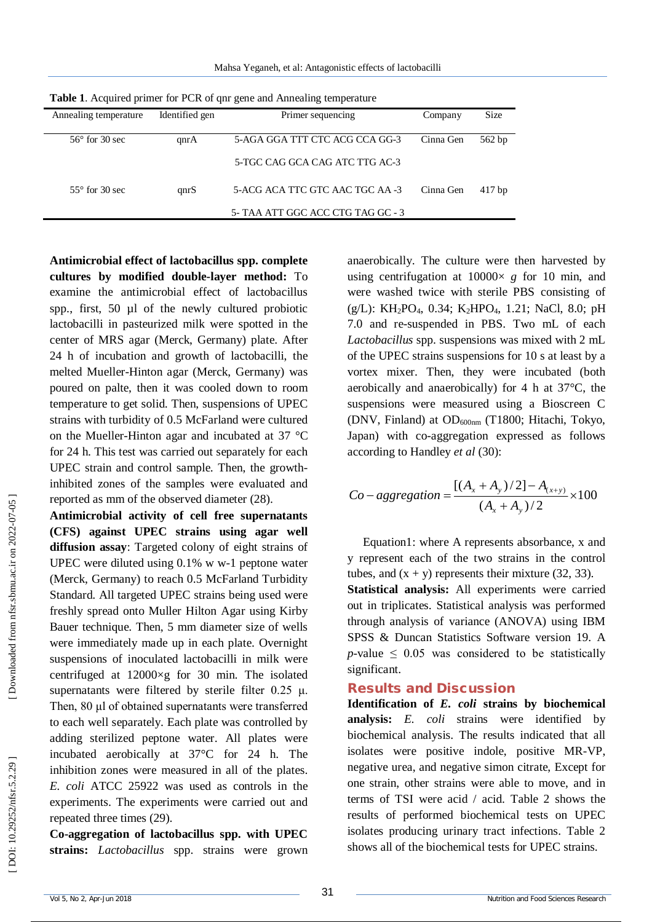Mahsa Yeganeh, et al: Antagonistic effects of lactobacilli

| Annealing temperature   | Identified gen | Primer sequencing                 | Company   | <b>Size</b> |
|-------------------------|----------------|-----------------------------------|-----------|-------------|
|                         |                |                                   |           |             |
| $56^{\circ}$ for 30 sec | qnrA           | 5-AGA GGA TTT CTC ACG CCA GG-3    | Cinna Gen | 562 bp      |
|                         |                | 5-TGC CAG GCA CAG ATC TTG AC-3    |           |             |
| $55^{\circ}$ for 30 sec | qnrS           | 5-ACG ACA TTC GTC AAC TGC AA -3   | Cinna Gen | $417$ bp    |
|                         |                | 5- TAA ATT GGC ACC CTG TAG GC - 3 |           |             |
|                         |                |                                   |           |             |

**Table 1**. Acquired primer for PCR of qnr gene and Annealing temperature

**Antimicrobial effect of lactobacillus spp. complete cultures by modified double -layer method:** To examine the antimicrobial effect of lactobacillus spp., first, 50 µl of the newly cultured probiotic lactobacilli in pasteurized milk were spotted in the center of MRS agar (Merck, Germany) plate. After 24 h of incubation and growth of lactobacilli, the melted Mueller -Hinton agar (Merck, Germany) was poured on palte, then it was cooled down to room temperature to get solid. Then, suspensions of UPEC strains with turbidity of 0.5 McFarland were cultured on the Mueller -Hinton agar and incubated at 37 °C for 24 h. This test was carried out separately for each UPEC strain and control sample. Then, the growth inhibited zones of the samples were evaluated and reported as mm of the observed diameter (28).

**Antimicrobial activity of cell free supernatants (CFS) against UPEC strains using agar well diffusion assay**: Targeted colony of eight strains of UPEC were diluted using 0.1% w w -1 peptone water (Merck, Germany) to reach 0.5 McFarland Turbidity Standard. All targeted UPEC strains being used were freshly spread onto Muller Hilton Agar using Kirby Bauer technique. Then, 5 mm diameter size of wells were immediately made up in each plate. Overnight suspensions of inoculated lactobacilli in milk were centrifuged at 12000×g for 30 min. The isolated supernatants were filtered by sterile filter  $0.25 \mu$ . Then, 80 μl of obtained supernatants were transferred to each well separately. Each plate was controlled by adding sterilized peptone water. All plates were incubated aerobically at 37°C for 24 h. The inhibition zones were measured in all of the plates. *E. coli* ATCC 25922 was used as controls in the experiments. The experiments were carried out and repeated three times (29).

**Co -aggregation of lactobacillus spp. with UPEC strains:** *Lactobacillus* spp. strains were grown

anaerobically. The culture were then harvested by using centrifugation at  $10000 \times g$  for 10 min, and were washed twice with sterile PBS consisting of (g/L): KH <sup>2</sup>PO <sup>4</sup>, 0.34; K <sup>2</sup>HPO <sup>4</sup>, 1.21; NaCl, 8.0; pH 7.0 and re -suspended in PBS. Two mL of each *Lactobacillus* spp. suspensions was mixed with 2 mL of the UPEC strains suspensions for 10 s at least by a vortex mixer. Then, they were incubated (both aerobically and anaerobically) for 4 h at 37 °C, the suspensions were measured using a Bioscreen C (DNV, Finland) at OD<sub>600nm</sub> (T1800; Hitachi, Tokyo, Japan) with co -aggregation expressed as follows according to Handley *et al* (30):

$$
Co-aggregation = \frac{[(A_x + A_y)/2] - A_{(x+y)}}{(A_x + A_y)/2} \times 100
$$

Equation1: where A represents absorbance, x and y represent each of the two strains in the control tubes, and  $(x + y)$  represents their mixture (32, 33). **Statistical analysis:** All experiments were carried out in triplicates. Statistical analysis was performed through analysis of variance (ANOVA) using IBM SPSS & Duncan Statistics Software version 19. A *p*-value  $\leq$  0.05 was considered to be statistically significant.

#### **Results and Discussion**

**Identification of** *E. coli* **strains by biochemical analysis:** *E. coli* strains were identified by biochemical analysis. The results indicated that all isolates were positive indole, positive MR -VP, negative urea, and negative simon citrate, Except for one strain, other strains were able to move, and in terms of TSI were acid / acid. Table 2 shows the results of performed biochemical tests on UPEC isolates producing urinary tract infections. Table 2 shows all of the biochemical tests for UPEC strains.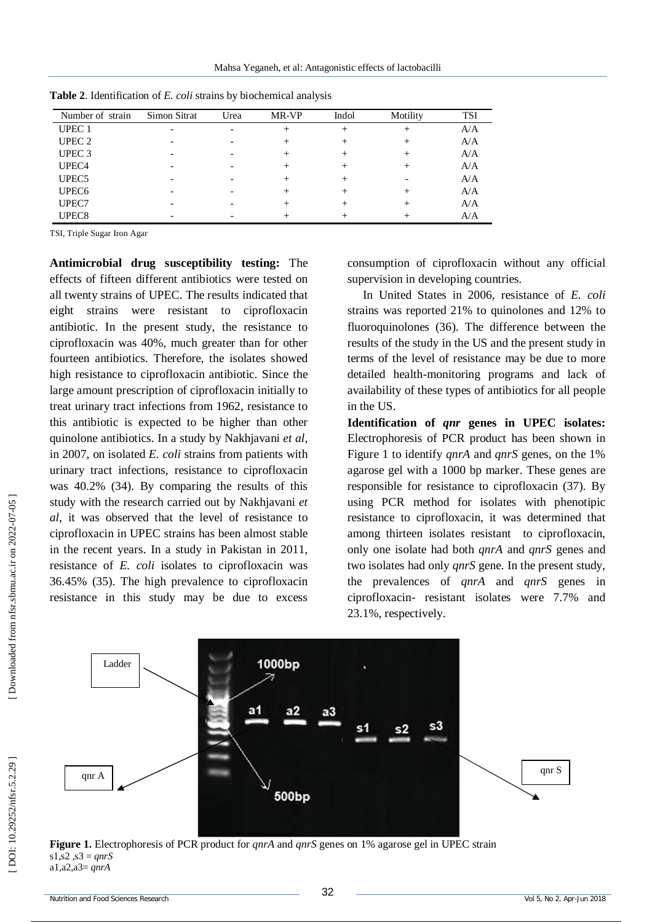Mahsa Yeganeh, et al: Antagonistic effects of lactobacilli

| Number of strain  | Simon Sitrat | Urea | MR-VP | Indol | Motility | <b>TSI</b> |
|-------------------|--------------|------|-------|-------|----------|------------|
| UPEC <sub>1</sub> |              |      |       |       |          | A/A        |
| UPEC <sub>2</sub> |              |      |       |       |          | A/A        |
| UPEC <sub>3</sub> |              |      |       |       |          | A/A        |
| UPEC <sub>4</sub> |              |      |       |       |          | A/A        |
| UPEC <sub>5</sub> |              |      |       |       |          | A/A        |
| UPEC <sub>6</sub> |              |      |       |       |          | A/A        |
| UPEC7             |              |      |       |       |          | A/A        |
| UPEC <sub>8</sub> |              |      |       |       |          | A/A        |

**Table 2**. Identification of *E. coli* strains by biochemical analysis

TSI, Triple Sugar Iron Agar

**Antimicrobial drug susceptibility testing:** The effects of fifteen different antibiotics were tested on all twenty strains of UPEC. The results indicated that eight strains were resistant to ciprofloxacin antibiotic. In the present study, the resistance to ciprofloxacin was 40%, much greater than for other fourteen antibiotics. Therefore, the isolates showed high resistance to ciprofloxacin antibiotic. Since the large amount prescription of ciprofloxacin initially to treat urinary tract infections from 1962, resistance to this antibiotic is expected to be higher than other quinolone antibiotics. In a study by Nakhjavani *et al*, in 2007, on isolated *E. coli* strains from patients with urinary tract infections, resistance to ciprofloxacin was 40.2% (34). By comparing the results of this study with the research carried out by Nakhjavani *et al,* it was observed that the level of resistance to ciprofloxacin in UPEC strains has been almost stable in the recent years. In a study in Pakistan in 2011, resistance of *E. coli* isolates to ciprofloxacin was 36.45% (35). The high prevalence to ciprofloxacin resistance in this study may be due to excess consumption of ciprofloxacin without any official supervision in developing countries.

In United States in 2006, resistance of *E. coli* strains was reported 21% to quinolones and 12% to fluoroquinolones (36). The difference between the results of the study in the US and the present study in terms of the level of resistance may be due to more detailed health -monitoring programs and lack of availability of these types of antibiotics for all people in the US.

**Identification of** *qnr* **genes in UPEC isolates:**  Electrophoresis of PCR product has been shown in Figure 1 to identify *qnrA* and *qnrS* genes, on the 1% agarose gel with a 1000 bp marker. These genes are responsible for resistance to ciprofloxacin (37). By using PCR method for isolates with phenotipic resistance to ciprofloxacin, it was determined that among thirteen isolates resistant to ciprofloxacin, only one isolate had both *qnrA* and *qnrS* genes and two isolates had only *qnrS* gene. In the present study, the prevalences of *qnrA* and *qnrS* genes in ciprofloxacin - resistant isolates were 7.7% and 23.1%, respectively.



**Figure 1.** Electrophoresis of PCR product for *qnrA* and *qnrS* genes on 1% agarose gel in UPEC strain s1,s2 ,s3 = *qnrS* a1,a2,a3= *qnrA*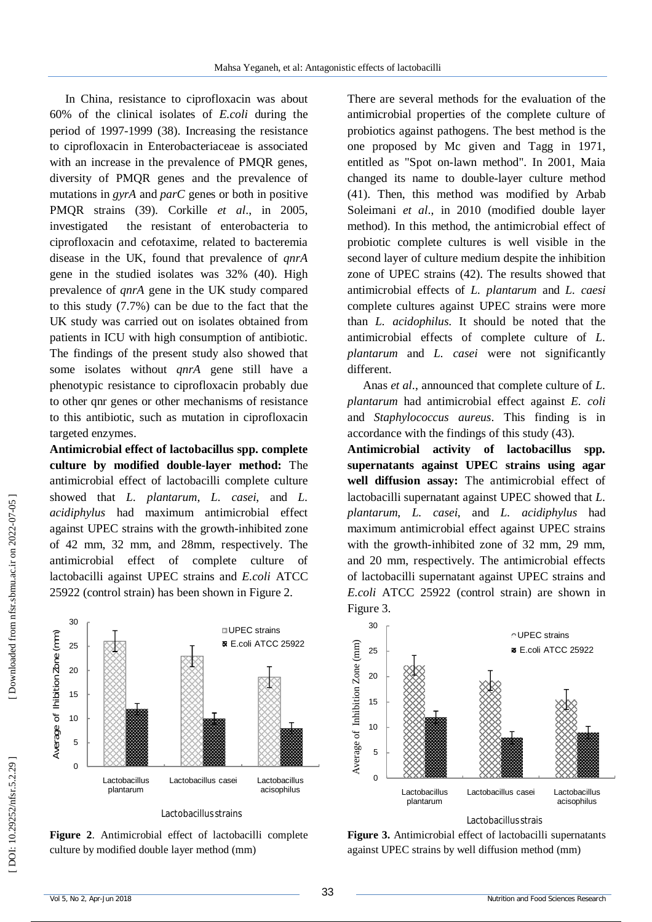In China, resistance to ciprofloxacin was about 60% of the clinical isolates of *E.coli* during the period of 1997 -1999 (38). Increasing the resistance to ciprofloxacin in Enterobacteriaceae is associated with an increase in the prevalence of PMQR genes, diversity of PMQR genes and the prevalence of mutations in *gyrA* and *parC* genes or both in positive PMQR strains (39). Corkille *et al*., in 2005, investigated the resistant of enterobacteria to ciprofloxacin and cefotaxime, related to bacteremia disease in the UK, found that prevalence of *qnrA* gene in the studied isolates was 32% (40). High prevalence of *qnrA* gene in the UK study compared to this study (7.7%) can be due to the fact that the UK study was carried out on isolates obtained from patients in ICU with high consumption of antibiotic. The findings of the present study also showed that some isolates without *qnrA* gene still have a phenotypic resistance to ciprofloxacin probably due to other qnr genes or other mechanisms of resistance to this antibiotic, such as mutation in ciprofloxacin targeted enzymes .

**Antimicrobial effect of lactobacillus spp. complete culture by modified double -layer method:** The antimicrobial effect of lactobacilli complete culture showed that *L. plantarum*, *L. casei*, and *L. acidiphylus* had maximum antimicrobial effect against UPEC strains with the growth -inhibited zone of 42 mm, 32 mm, and 28mm, respectively. The antimicrobial effect of complete culture of lactobacilli against UPEC strains and *E.coli* ATCC 25922 (control strain) has been shown in Figure 2.

There are several methods for the evaluation of the antimicrobial properties of the complete culture of probiotics against pathogens. The best method is the one proposed by Mc given and Tagg in 1971, entitled as "Spot on -lawn method". In 2001, Maia changed its name to double -layer culture method (41). Then, this method was modified by Arbab Soleimani *et al*., in 2010 (modified double layer method). In this method, the antimicrobial effect of probiotic complete cultures is well visible in the second layer of culture medium despite the inhibition zone of UPEC strains (42). The results showed that antimicrobial effects of *L. plantarum* and *L. caesi* complete cultures against UPEC strains were more than *L. acidophilus*. It should be noted that the antimicrobial effects of complete culture of *L. plantarum* and *L. casei* were not significantly different.

Anas *et al*., announced that complete culture of *L. plantarum* had antimicrobial effect against *E. coli* and *Staphylococcus aureus*. This finding is in accordance with the findings of this study (43).

**Antimicrobial activity of lactobacillus spp. supernatants against UPEC strains using agar well diffusion assay:** The antimicrobial effect of lactobacilli supernatant against UPEC showed that *L. plantarum*, *L. casei*, and *L. acidiphylus* had maximum antimicrobial effect against UPEC strains with the growth -inhibited zone of 32 mm, 29 mm, and 20 mm, respectively. The antimicrobial effects of lactobacilli supernatant against UPEC strains and *E.coli* ATCC 25922 (control strain) are shown in Figure 3.



**Figure 2**. Antimicrobial effect of lactobacilli complete culture by modified double layer method (mm)



Lactobacillus strais

**Figure 3.** Antimicrobial effect of lactobacilli supernatants against UPEC strains by well diffusion method (mm)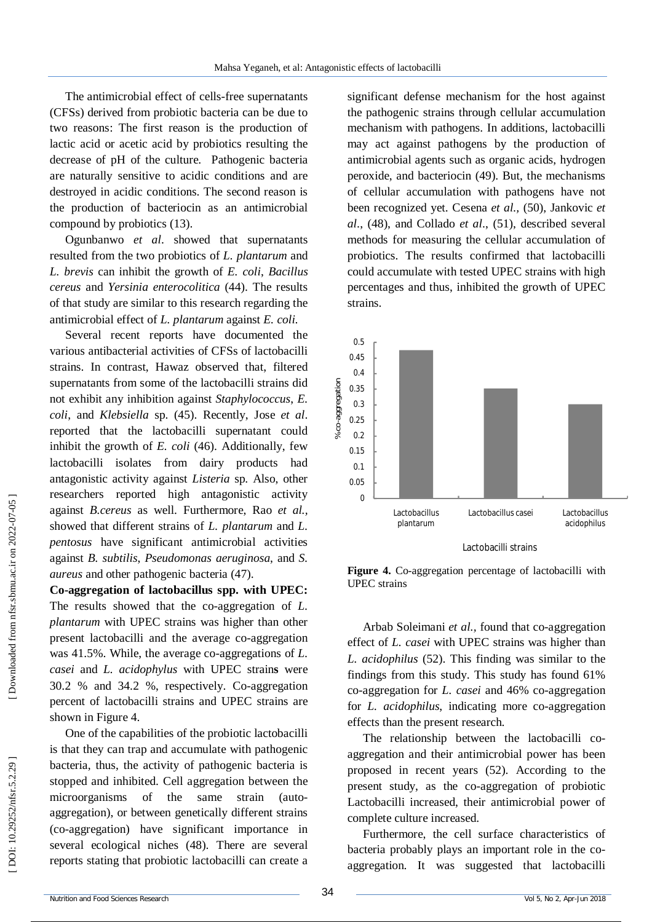The antimicrobial effect of cells -free supernatants (CFSs) derived from probiotic bacteria can be due to two reasons: The first reason is the production of lactic acid or acetic acid by probiotics resulting the decrease of pH of the culture. Pathogenic bacteria are naturally sensitive to acidic conditions and are destroyed in acidic conditions. The second reason is the production of bacteriocin as an antimicrobial compound by probiotics (13).

Ogunbanwo *et al*. showed that supernatants resulted from the two probiotics of *L. plantarum* and *L. brevis* can inhibit the growth of *E. coli*, *Bacillus cereus* and *Yersinia enterocolitica* (44). The results of that study are similar to this research regarding the antimicrobial effect of *L. plantarum* against *E. coli* .

Several recent reports have documented the various antibacterial activities of CFSs of lactobacilli strains. In contrast, Hawaz observed that, filtered supernatants from some of the lactobacilli strains did not exhibit any inhibition against *Staphylococcus*, *E. coli*, and *Klebsiella* sp. (45). Recently, Jose *et al*. reported that the lactobacilli supernatant could inhibit the growth of *E. coli* (46). Additionally, few lactobacilli isolates from dairy products had antagonistic activity against *Listeria* sp. Also, other researchers reported high antagonistic activity against *B.cereus* as well. Furthermore, Rao *et al.,*  showed that different strains of *L. plantarum* and *L. pentosus* have significant antimicrobial activities against *B. subtilis*, *Pseudomonas aeruginosa*, and *S. aureus* and other pathogenic bacteria (47).

**Co -aggregation of lactobacillus spp. with UPEC:**  The results showed that the co -aggregation of *L. plantarum* with UPEC strains was higher than other present lactobacilli and the average co -aggregation was 41.5%. While, the average co -aggregations of *L. casei* and *L. acidophylus* with UPEC strain**s** were 30.2 % and 34.2 %, respectively . Co -aggregation percent of lactobacilli strains and UPEC strains are shown in Figure 4.

One of the capabilities of the probiotic lactobacilli is that they can trap and accumulate with pathogenic bacteria, thus, the activity of pathogenic bacteria is stopped and inhibited. Cell aggregation between the microorganisms of the same strain (autoaggregation), or between genetically different strains (co -aggregation) have significant importance in several ecological niches (48). There are several reports stating that probiotic lactobacilli can create a

significant defense mechanism for the host against the pathogenic strains through cellular accumulation mechanism with pathogens. In additions, lactobacilli may act against pathogens by the production of antimicrobial agents such as organic acids, hydrogen peroxide, and bacteriocin (49). But, the mechanisms of cellular accumulation with pathogens have not been recognized yet. Cesena *et al.,* (50), Jankovic *et al*., (48), and Collado *et al*., (51), described several methods for measuring the cellular accumulation of probiotics. The results confirmed that lactobacilli could accumulate with tested UPEC strains with high percentages and thus, inhibited the growth of UPEC strains.



Figure 4. Co-aggregation percentage of lactobacilli with UPEC strains

Arbab Soleimani *et al.,* found that co -aggregation effect of *L. casei* with UPEC strains was higher than *L. acidophilus* (52). This finding was similar to the findings from this study. This study has found 61% co -aggregation for *L. casei* and 46% co -aggregation for *L. acidophilus*, indicating more co -aggregation effects than the present research.

The relationship between the lactobacilli co aggregation and their antimicrobial power has been proposed in recent years (52). According to the present study, as the co -aggregation of probiotic Lactobacilli increased, their antimicrobial power of complete culture increased.

Furthermore, the cell surface characteristics of bacteria probably plays an important role in the co -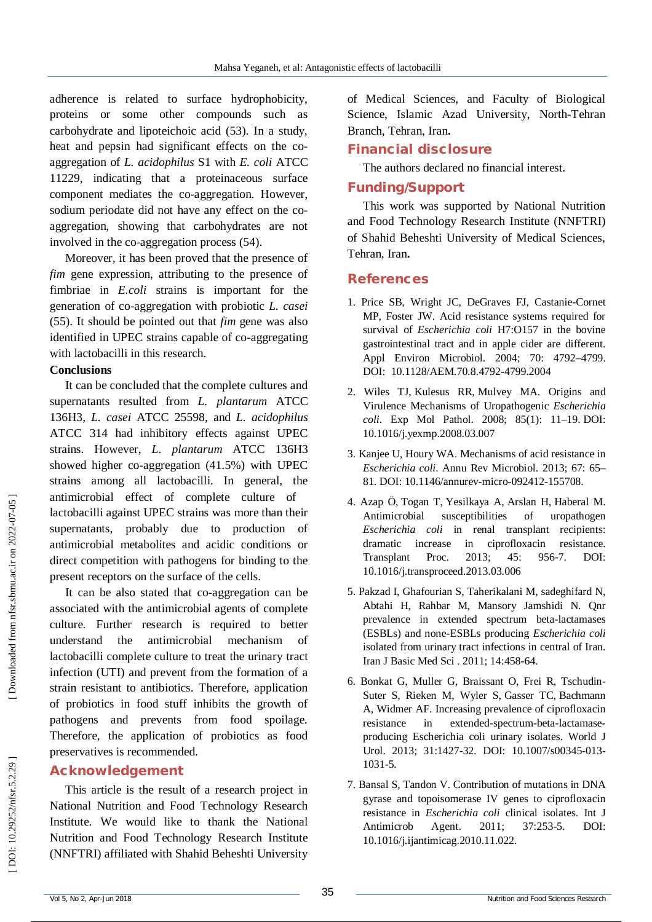adherence is related to surface hydrophobicity, proteins or some other compounds such as carbohydrate and lipoteichoic acid (53). In a study, heat and pepsin had significant effects on the co aggregation of *L. acidophilus* S1 with *E. coli* ATCC 11229, indicating that a proteinaceous surface component mediates the co -aggregation. However, sodium periodate did not have any effect on the co aggregation, showing that carbohydrates are not involved in the co -aggregation process (54).

Moreover, it has been proved that the presence of *fim* gene expression, attributing to the presence of fimbriae in *E.coli* strains is important for the generation of co -aggregation with probiotic *L. casei* (55) . It should be pointed out that *fim* gene was also identified in UPEC strains capable of co -aggregating with lactobacilli in this research.

#### **Conclusions**

It can be concluded that the complete cultures and supernatants resulted from *L. plantarum* ATCC 136H3, *L. casei* ATCC 25598, and *L. acidophilus* ATCC 314 had inhibitory effects against UPEC strains. However, *L. plantarum* ATCC 136H3 showed higher co -aggregation (41.5%) with UPEC strains among all lactobacilli. In general, the antimicrobial effect of complete culture of lactobacilli against UPEC strains was more than their supernatants, probably due to production of antimicrobial metabolites and acidic conditions or direct competition with pathogens for binding to the present receptors on the surface of the cells.

It can be also stated that co -aggregation can be associated with the antimicrobial agents of complete culture. Further research is required to better understand the antimicrobial mechanism of lactobacilli complete culture to treat the urinary tract infection (UTI) and prevent from the formation of a strain resistant to antibiotics. Therefore, application of probiotics in food stuff inhibits the growth of pathogens and prevents from food spoilage. Therefore, the application of probiotics as food preservatives is recommended.

#### **Acknowledgement**

This article is the result of a research project in National Nutrition and Food Technology Research Institute . We would like to thank the National Nutrition and Food Technology Research Institute (NNFTRI) affiliated with Shahid Beheshti University

of Medical Sciences, and Faculty of Biological Science, Islamic Azad University, North -Tehran Branch, Tehran, Iran **.**

# **Financial disclosure**

The authors declared no financial interest.

# **Funding/Support**

This work was supported by National Nutrition and Food Technology Research Institute (NNFTRI) of Shahid Beheshti University of Medical Sciences, Tehran, Iran **.**

# **References**

- 1. Price SB, Wright JC, DeGraves FJ, Castanie -Cornet MP, Foster JW. Acid resistance systems required for survival of *Escherichia coli* H7:O157 in the bovine gastrointestinal tract and in apple cider are different. Appl Environ Microbiol. 2004; 70: 4792 –4799. DOI: 10.1128/AEM.70.8.4792 -4799.2004
- 2. Wiles TJ , Kulesus RR , Mulvey MA. Origins and Virulence Mechanisms of Uropathogenic *Escherichia coli* . Exp Mol Pathol. 2008; 85(1): 11 –19. DOI: 10.1016/j.yexmp.2008.03.00 7
- 3. Kanjee U, Houry WA. Mechanisms of acid resistance in *Escherichia coli*. Annu Rev Microbiol. 2013; 67: 65 – 81. DOI: 10.1146/annurev -micro -092412 -155708.
- 4 . Azap Ö , Togan T , Yesilkaya A , Arslan H , Haberal M. Antimicrobial susceptibilities of uropathogen *Escherichia coli* in renal transplant recipients: dramatic increase in ciprofloxacin resistance. Transplant Proc. 2013; 45: 956-7. DOI: 10.1016/j.transproceed.2013.03.006
- 5 . Pakzad I, Ghafourian S, Taherikalani M, sadeghifard N, Abtahi H, Rahbar M, Mansory Jamshidi N. Qnr prevalence in extended spectrum beta -lactamases (ESBLs) and none -ESBLs producing *Escherichia coli* isolated from urinary tract infections in central of Iran. Iran J Basic Med Sci . 2011; 14:458 -64.
- 6. Bonkat G, Muller G, Braissant O, Frei R, Tschudin Suter S, Rieken M, Wyler S , Gasser TC , Bachmann A , Widmer AF. Increasing prevalence of ciprofloxacin resistance in -spectrum -beta -lactamase producing Escherichia coli urinary isolates. World J Urol. 2013; 31:1427-32. DOI: 10.1007/s00345-013-1031 -5.
- 7. Bansal S, Tandon V. Contribution of mutations in DNA gyrase and topoisomerase IV genes to ciprofloxacin resistance in *Escherichia coli* clinical isolates. Int J Antimicrob Agent. 2011; 37:253-5. DOI: 10.1016/j.ijantimicag.2010.11.022.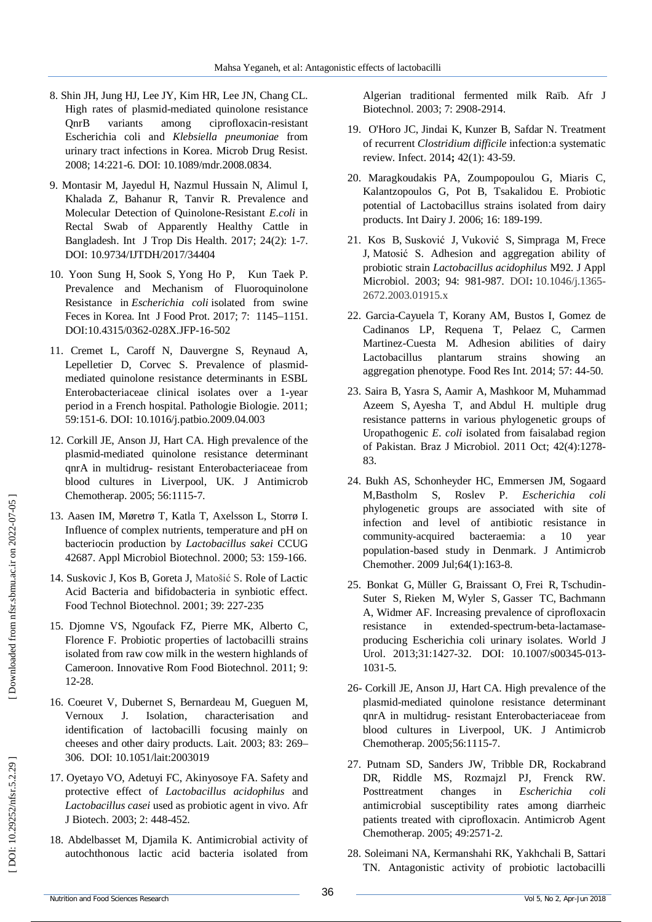- High rates of plasmid -mediated quinolone resistance QnrB variants among ciprofloxacin -resistant Escherichia coli and *Klebsiella pneumoniae* from urinary tract infections in Korea. Microb Drug Resist. 2008; 14:221 -6. DOI: 10.1089/mdr.2008.0834.
- 8. Shin JH, Jung HJ, Lee JN, Chann HR, Lee JN, Chann HR, Lee JN, Chann HR, Lee JN, Chann Contraction and infinity tract infections in Korea. Mirrodb Drog Resist.<br>
2008. Secherichis anima sume ciprofloxaum-resistant unitary 9 . Montasir M, Jayedul H, Nazmul Hussain N, Alimul I, Khalada Z, Bahanur R, Tanvir R . Prevalence and Molecular Detection of Quinolone -Resistant *E.coli* in Rectal Swab of Apparently Healthy Cattle in Bangladesh. Int J Trop Dis Health. 2017; 24(2): 1 -7. DOI: 10.9734/IJTDH/2017/34404
- 10 . Yoon Sung H, Sook S, Yong Ho P, Kun Taek P. Prevalence and Mechanism of Fluoroquinolone Resistance in *Escherichia coli* isolated from swine Feces in Korea. Int J Food Prot. 2017; 7: 1145 –1151. DOI:10.4315/0362 -028X.JFP -16 -502
- 11. Cremet L, Caroff N, Dauvergne S, Reynaud A, Lepelletier D, Corvec S. Prevalence of plasmid mediated quinolone resistance determinants in ESBL Enterobacteriaceae clinical isolates over a 1 -year period in a French hospital. Pathologie Biologie. 2011; 59:151 -6. DOI: 10.1016/j.patbio.2009.04.003
- 12. Corkill JE, Anson JJ, Hart CA. High prevalence of the plasmid -mediated quinolone resistance determinant qnrA in multidrug - resistant Enterobacteriaceae from blood cultures in Liverpool, UK. J Antimicrob Chemotherap. 2005; 56:1115 -7.
- 13. Aasen IM, Møretrø T, Katla T, Axelsson L, Storrø I. Influence of complex nutrients, temperature and pH on bacteriocin production by *Lactobacillus sakei* CCUG 42687. Appl Microbiol Biotechnol. 2000; 53: 159 -166.
- 14. Suskovic J, Kos B, Goreta J, Matošić S. Role of Lactic Acid Bacteria and bifidobacteria in synbiotic effect. Food Technol Biotechnol. 2001; 39: 227 -235
- 15. Djomne VS, Ngoufack FZ, Pierre MK, Alberto C, Florence F. Probiotic properties of lactobacilli strains isolated from raw cow milk in the western highlands of Cameroon. Innovative Rom Food Biotechnol. 2011; 9: 12 -28.
- 16. Coeuret V, Dubernet S, Bernardeau M, Gueguen M, Vernoux J. Isolation, characterisation and identification of lactobacilli focusing mainly on cheeses and other dairy products. Lait. 2003; 83: 269 – 306. DOI: 10.1051/lait:2003019
- 17. Oyetayo VO, Adetuyi FC, Akinyosoye FA. Safety and protective effect of *Lactobacillus acidophilus* and *Lactobacillus casei* used as probiotic agent in vivo. Afr J Biotech. 2003; 2: 448 -452.
- 18. Abdelbasset M, Djamila K. Antimicrobial activity of autochthonous lactic acid bacteria isolated from

Algerian traditional fermented milk Raïb. Afr J Biotechnol. 2003; 7: 2908 -2914.

- 19. O'Horo JC, Jindai K, Kunzer B, Safdar N. Treatment of recurrent *Clostridium difficile* infection:a systematic review. Infect. 2014**;** 42(1): 43 -59.
- 20. Maragkoudakis PA, Zoumpopoulou G, Miaris C, Kalantzopoulos G, Pot B, Tsakalidou E. Probiotic potential of Lactobacillus strains isolated from dairy products. Int Dairy J. 2006; 16: 189 -199.
- 21. Kos B , Susković J , Vuković S , Simpraga M , Frece J , Matosić S . Adhesion and aggregation ability of probiotic strain *Lactobacillus acidophilus* M92. J Appl Microbiol. 2003; 94: 981 **-**987. DOI **:** 10.1046/j.1365 - 2672.2003.01915.x
- 22. Garcia -Cayuela T, Korany AM, Bustos I, Gomez de Cadinanos LP, Requena T, Pelaez C, Carmen Martinez -Cuesta M. Adhesion abilities of dairy Lactobacillus plantarum strains showing an aggregation phenotype. Food Res Int. 2014; 57: 44 -50.
- 23. Saira B , Yasra S , Aamir A , Mashkoor M , Muhammad Azeem S , Ayesha T, and Abdul H. multiple drug resistance patterns in various phylogenetic groups of Uropathogenic *E. coli* isolated from faisalabad region of Pakistan. Braz J Microbiol. 2011 Oct; 42(4):1278 - 83.
- 24. Bukh AS, Schonheyder HC, Emmersen JM, Sogaard M,Bastholm S, Roslev P. *Escherichia coli* phylogenetic groups are associated with site of infection and level of antibiotic resistance in community bacteraemia: a 10 year population -based study in Denmark. J Antimicrob Chemother. 2009 Jul;64(1):163 -8.
- 25. Bonkat G, Müller G, Braissant O, Frei R, Tschudin-Suter S , Rieken M , Wyler S , Gasser TC , Bachmann A , Widmer AF . Increasing prevalence of ciprofloxacin resistance in -spectrum -beta -lactamase producing Escherichia coli urinary isolates. World J Urol. 2013;31:1427-32. DOI: 10.1007/s00345-013-1031 -5.
- 26 Corkill JE , Anson JJ , Hart CA. High prevalence of the plasmid -mediated quinolone resistance determinant qnrA in multidrug - resistant Enterobacteriaceae from blood cultures in Liverpool, UK. J Antimicrob Chemotherap. 2005;56:1115 -7.
- 27 . Putnam SD, Sanders JW, Tribble DR, Rockabrand DR, Riddle MS, Rozmajzl PJ, Frenck RW. Posttreatment changes in *Escherichia coli* antimicrobial susceptibility rates among diarrheic patients treated with ciprofloxacin. Antimicrob Agent Chemotherap. 2005; 49:2571 -2.
- 28. Soleimani NA, Kermanshahi RK, Yakhchali B, Sattari TN. Antagonistic activity of probiotic lactobacilli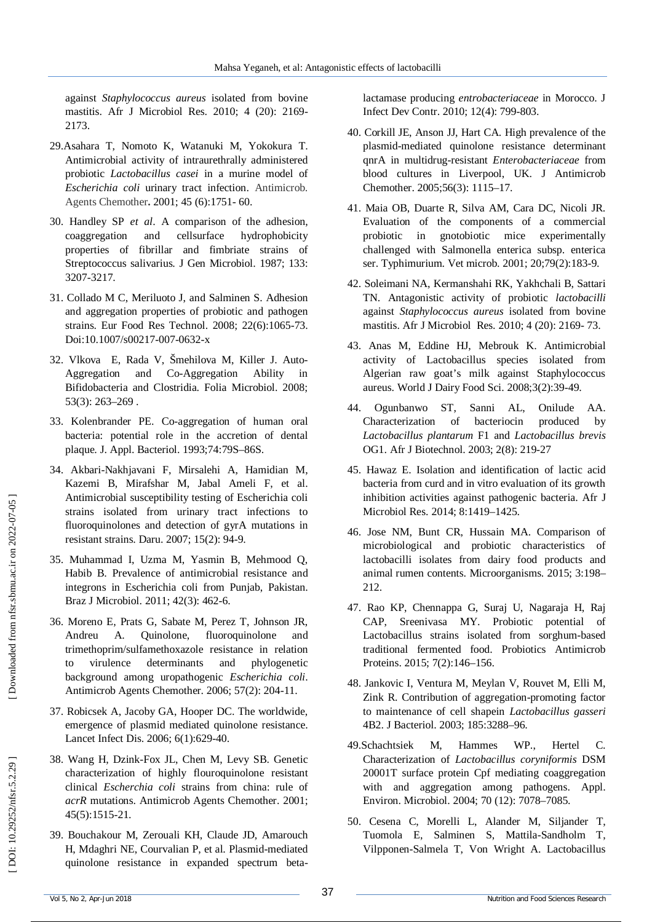against *Staphylococcus aureus* isolated from bovine mastitis. Afr J Microbiol Res. 2010; 4 (20): 2169 - 2173.

- 29.Asahara T, Nomoto K, Watanuki M, Yokokura T. Antimicrobial activity of intraurethrally administered probiotic *Lactobacillus casei* in a murine model of *Escherichia coli* urinary tract infection. Antimicrob. Agents Chemother**.** 2001; 45 (6):1751 - 60.
- 30. Handley SP *et al*. A comparison of the adhesion, coaggregation and cellsurface hydrophobicity properties of fibrillar and fimbriate strains of Streptococcus salivarius. J Gen Microbiol. 1987; 133: 3207 -3217.
- 31. Collado M C, Meriluoto J, and Salminen S. Adhesion and aggregation properties of probiotic and pathogen strains. Eur Food Res Technol. 2008; 22(6):1065 -73. Doi:10.1007/s00217-007-0632-x
- 32. Vlkova E, Rada V, Šmehilova M, Killer J. Auto Aggregation and Co-Aggregation Ability in Bifidobacteria and Clostridia. Folia Microbiol. 2008; 53(3): 263 –269 .
- 33. Kolenbrander PE. Co -aggregation of human oral bacteria: potential role in the accretion of dental plaque. J. Appl. Bacteriol. 1993;74:79S –86S.
- 34. Akbari -Nakhjavani F, Mirsalehi A, Hamidian M, Kazemi B, Mirafshar M, Jabal Ameli F, et al. Antimicrobial susceptibility testing of Escherichia coli strains isolated from urinary tract infections to fluoroquinolones and detection of gyrA mutations in resistant strains. Daru. 2007; 15(2): 94 -9.
- 35. Muhammad I, Uzma M, Yasmin B, Mehmood Q, Habib B. Prevalence of antimicrobial resistance and integrons in Escherichia coli from Punjab, Pakistan. Braz J Microbiol. 2011; 42(3): 462 -6.
- 36. Moreno E, Prats G, Sabate M, Perez T, Johnson JR, Andreu A. Quinolone, fluoroquinolone and trimethoprim/sulfamethoxazole resistance in relation to virulence determinants and phylogenetic background among uropathogenic *Escherichia coli*. Antimicrob Agents Chemother. 2006; 57(2): 204 -11.
- 37. Robicsek A, Jacoby GA, Hooper DC. The worldwide, emergence of plasmid mediated quinolone resistance. Lancet Infect Dis. 2006; 6(1):629 -40.
- 38. Wang H, Dzink -Fox JL, Chen M, Levy SB. Genetic characterization of highly flouroquinolone resistant clinical *Escherchia coli* strains from china: rule of *acrR* mutations. Antimicrob Agents Chemother. 2001; 45(5):1515 -21.
- 39. Bouchakour M, Zerouali KH, Claude JD, Amarouch H, Mdaghri NE, Courvalian P, et al. Plasmid -mediated quinolone resistance in expanded spectrum beta -

lactamase producing *entrobacteriaceae* in Morocco. J Infect Dev Contr. 2010; 12(4): 799 -803.

- 40. Corkill JE, Anson JJ, Hart CA. High prevalence of the plasmid -mediated quinolone resistance determinant qnrA in multidrug -resistant *Enterobacteriaceae* from blood cultures in Liverpool, UK. J Antimicrob Chemother. 2005;56(3): 1115 –17.
- 41. Maia OB, Duarte R, Silva AM, Cara DC, Nicoli JR. Evaluation of the components of a commercial probiotic in gnotobiotic mice experimentally challenged with Salmonella enterica subsp. enterica ser. Typhimurium. Vet microb. 2001; 20;79(2):183 -9.
- 42. Soleimani NA, Kermanshahi RK, Yakhchali B, Sattari TN. Antagonistic activity of probiotic *lactobacilli*  against *Staphylococcus aureus* isolated from bovine mastitis. Afr J Microbiol Res. 2010; 4 (20): 2169 - 73.
- 43. Anas M, Eddine HJ, Mebrouk K. Antimicrobial activity of Lactobacillus species isolated from Algerian raw goat's milk against Staphylococcus aureus. World J Dairy Food Sci. 2008;3(2):39 -49.
- 44. Ogunbanwo ST, Sanni AL, Onilude AA. Characterization of bacteriocin produced by *Lactobacillus plantarum* F1 and *Lactobacillus brevis*  OG1. Afr J Biotechnol. 2003; 2(8): 219 -27
- 45. Hawaz E. Isolation and identification of lactic acid bacteria from curd and in vitro evaluation of its growth inhibition activities against pathogenic bacteria. Afr J Microbiol Res. 2014; 8:1419 –1425.
- 46. Jose NM, Bunt CR, Hussain MA. Comparison of microbiological and probiotic characteristics of lactobacilli isolates from dairy food products and animal rumen contents. Microorganisms. 2015; 3:198 – 212.
- 47. Rao KP, Chennappa G, Suraj U, Nagaraja H, Raj CAP, Sreenivasa MY. Probiotic potential of Lactobacillus strains isolated from sorghum -based traditional fermented food. Probiotics Antimicrob Proteins. 2015; 7(2):146 –156.
- 48. Jankovic I, Ventura M, Meylan V, Rouvet M, Elli M, Zink R. Contribution of aggregation -promoting factor to maintenance of cell shapein *Lactobacillus gasseri*  4B2. J Bacteriol. 2003; 185:3288 –96.
- 49.Schachtsiek M, Hammes WP., Hertel C. Characterization of *Lactobacillus coryniformis* DSM 20001T surface protein Cpf mediating coaggregation with and aggregation among pathogens. Appl. Environ. Microbiol. 2004; 70 (12): 7078 –7085.
- 50. Cesena C, Morelli L, Alander M, Siljander T, Tuomola E, Salminen S, Mattila -Sandholm T, Vilpponen -Salmela T, Von Wright A. Lactobacillus